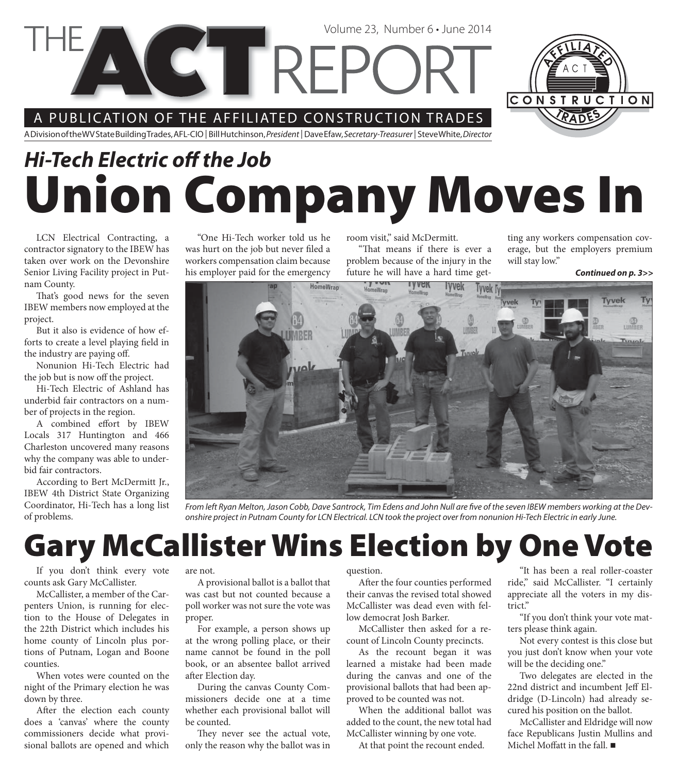A PUBLICATION OF THE AFFILIATED CONSTRUCTION TRADES

A Division of the WV State Building Trades, AFL-CIO | Bill Hutchinson, President | Dave Efaw, Secretary-Treasurer | Steve White, Director

# **Union Company Moves In** *Hi-Tech Electric off the Job*

HomeWrap

Volume 23, Number 6 • June 2014

LCN Electrical Contracting, a contractor signatory to the IBEW has taken over work on the Devonshire Senior Living Facility project in Putnam County.

That's good news for the seven IBEW members now employed at the project.

But it also is evidence of how efforts to create a level playing field in the industry are paying off.

Nonunion Hi-Tech Electric had the job but is now off the project.

Hi-Tech Electric of Ashland has underbid fair contractors on a number of projects in the region.

A combined effort by IBEW Locals 317 Huntington and 466 Charleston uncovered many reasons why the company was able to underbid fair contractors.

According to Bert McDermitt Jr., IBEW 4th District State Organizing Coordinator, Hi-Tech has a long list of problems.

"One Hi-Tech worker told us he was hurt on the job but never filed a workers compensation claim because his employer paid for the emergency

room visit," said McDermitt.

"That means if there is ever a problem because of the injury in the future he will have a hard time get-**TYVEK** lyvek

**Tyvek h** 

ting any workers compensation coverage, but the employers premium will stay low."

CONSTRUCTION

*Continued on p. 3>>*

Tyvek

Τv

 $\frac{1}{2}$ Tynyol

From left Ryan Melton, Jason Cobb, Dave Santrock, Tim Edens and John Null are five of the seven IBEW members working at the Devonshire project in Putnam County for LCN Electrical. LCN took the project over from nonunion Hi-Tech Electric in early June.

## **Gary McCallister Wins Election by One Vote**

If you don't think every vote counts ask Gary McCallister.

McCallister, a member of the Carpenters Union, is running for election to the House of Delegates in the 22th District which includes his home county of Lincoln plus portions of Putnam, Logan and Boone counties.

When votes were counted on the night of the Primary election he was down by three.

After the election each county does a 'canvas' where the county commissioners decide what provisional ballots are opened and which

are not.

A provisional ballot is a ballot that was cast but not counted because a poll worker was not sure the vote was proper.

For example, a person shows up at the wrong polling place, or their name cannot be found in the poll book, or an absentee ballot arrived after Election day.

During the canvas County Commissioners decide one at a time whether each provisional ballot will be counted.

They never see the actual vote, only the reason why the ballot was in

#### question.

After the four counties performed their canvas the revised total showed McCallister was dead even with fellow democrat Josh Barker.

McCallister then asked for a recount of Lincoln County precincts.

As the recount began it was learned a mistake had been made during the canvas and one of the provisional ballots that had been approved to be counted was not.

When the additional ballot was added to the count, the new total had McCallister winning by one vote.

At that point the recount ended.

"It has been a real roller-coaster ride," said McCallister. "I certainly appreciate all the voters in my district."

"If you don't think your vote matters please think again.

Not every contest is this close but you just don't know when your vote will be the deciding one."

Two delegates are elected in the 22nd district and incumbent Jeff Eldridge (D-Lincoln) had already secured his position on the ballot.

McCallister and Eldridge will now face Republicans Justin Mullins and Michel Moffatt in the fall.  $\blacksquare$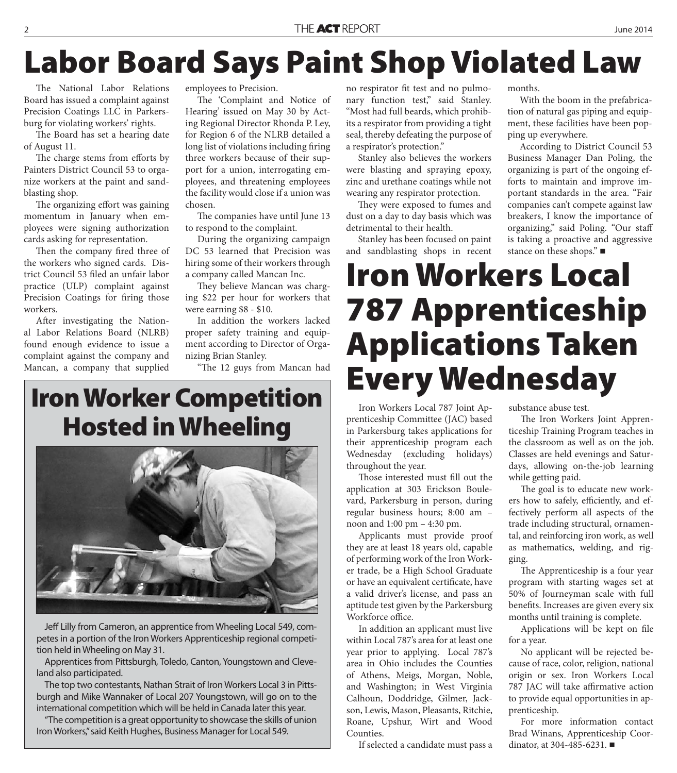# **Labor Board Says Paint Shop Violated Law**

The National Labor Relations Board has issued a complaint against Precision Coatings LLC in Parkersburg for violating workers' rights.

The Board has set a hearing date of August 11.

The charge stems from efforts by Painters District Council 53 to organize workers at the paint and sandblasting shop.

The organizing effort was gaining momentum in January when employees were signing authorization cards asking for representation.

Then the company fired three of the workers who signed cards. District Council 53 filed an unfair labor practice (ULP) complaint against Precision Coatings for firing those workers.

After investigating the National Labor Relations Board (NLRB) found enough evidence to issue a complaint against the company and Mancan, a company that supplied

employees to Precision.

The 'Complaint and Notice of Hearing' issued on May 30 by Acting Regional Director Rhonda P. Ley, for Region 6 of the NLRB detailed a long list of violations including firing three workers because of their support for a union, interrogating employees, and threatening employees the facility would close if a union was chosen.

The companies have until June 13 to respond to the complaint.

During the organizing campaign DC 53 learned that Precision was hiring some of their workers through a company called Mancan Inc.

They believe Mancan was charging \$22 per hour for workers that were earning \$8 - \$10.

In addition the workers lacked proper safety training and equipment according to Director of Organizing Brian Stanley.

"The 12 guys from Mancan had

### **Iron Worker Competition Hosted in Wheeling**



Jeff Lilly from Cameron, an apprentice from Wheeling Local 549, competes in a portion of the Iron Workers Apprenticeship regional competition held in Wheeling on May 31.

Apprentices from Pittsburgh, Toledo, Canton, Youngstown and Cleveland also participated.

The top two contestants, Nathan Strait of Iron Workers Local 3 in Pittsburgh and Mike Wannaker of Local 207 Youngstown, will go on to the international competition which will be held in Canada later this year.

"The competition is a great opportunity to showcase the skills of union Iron Workers," said Keith Hughes, Business Manager for Local 549.

no respirator fit test and no pulmonary function test," said Stanley. "Most had full beards, which prohibits a respirator from providing a tight seal, thereby defeating the purpose of a respirator's protection."

Stanley also believes the workers were blasting and spraying epoxy, zinc and urethane coatings while not wearing any respirator protection.

They were exposed to fumes and dust on a day to day basis which was detrimental to their health.

Stanley has been focused on paint and sandblasting shops in recent months.

With the boom in the prefabrication of natural gas piping and equipment, these facilities have been popping up everywhere.

According to District Council 53 Business Manager Dan Poling, the organizing is part of the ongoing efforts to maintain and improve important standards in the area. "Fair companies can't compete against law breakers, I know the importance of organizing," said Poling. "Our staff is taking a proactive and aggressive stance on these shops."

# **Iron Workers Local 787 Apprenticeship Applications Taken Every Wednesday**

Iron Workers Local 787 Joint Apprenticeship Committee (JAC) based in Parkersburg takes applications for their apprenticeship program each Wednesday (excluding holidays) throughout the year.

Those interested must fill out the application at 303 Erickson Boulevard, Parkersburg in person, during regular business hours; 8:00 am – noon and 1:00 pm – 4:30 pm.

Applicants must provide proof they are at least 18 years old, capable of performing work of the Iron Worker trade, be a High School Graduate or have an equivalent certificate, have a valid driver's license, and pass an aptitude test given by the Parkersburg Workforce office.

In addition an applicant must live within Local 787's area for at least one year prior to applying. Local 787's area in Ohio includes the Counties of Athens, Meigs, Morgan, Noble, and Washington; in West Virginia Calhoun, Doddridge, Gilmer, Jackson, Lewis, Mason, Pleasants, Ritchie, Roane, Upshur, Wirt and Wood Counties.

If selected a candidate must pass a

substance abuse test.

The Iron Workers Joint Apprenticeship Training Program teaches in the classroom as well as on the job. Classes are held evenings and Saturdays, allowing on-the-job learning while getting paid.

The goal is to educate new workers how to safely, efficiently, and effectively perform all aspects of the trade including structural, ornamental, and reinforcing iron work, as well as mathematics, welding, and rigging.

The Apprenticeship is a four year program with starting wages set at 50% of Journeyman scale with full benefits. Increases are given every six months until training is complete.

Applications will be kept on file for a year.

No applicant will be rejected because of race, color, religion, national origin or sex. Iron Workers Local 787 JAC will take affirmative action to provide equal opportunities in apprenticeship.

For more information contact Brad Winans, Apprenticeship Coordinator, at 304-485-6231.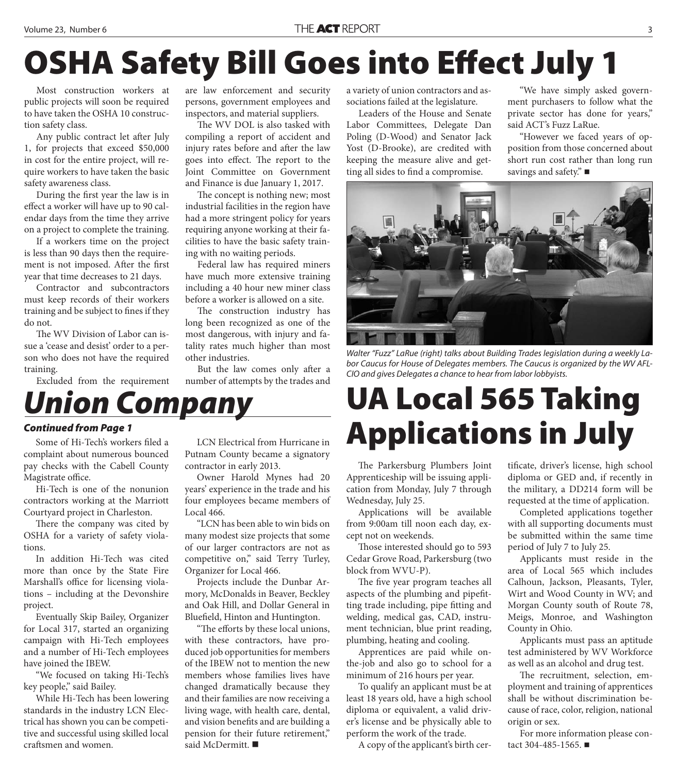# **OSHA Safety Bill Goes into Effect July 1**

Most construction workers at public projects will soon be required to have taken the OSHA 10 construction safety class.

Any public contract let after July 1, for projects that exceed \$50,000 in cost for the entire project, will require workers to have taken the basic safety awareness class.

During the first year the law is in effect a worker will have up to 90 calendar days from the time they arrive on a project to complete the training.

If a workers time on the project is less than 90 days then the requirement is not imposed. After the first year that time decreases to 21 days.

Contractor and subcontractors must keep records of their workers training and be subject to fines if they do not.

The WV Division of Labor can issue a 'cease and desist' order to a person who does not have the required training.

Excluded from the requirement

are law enforcement and security persons, government employees and inspectors, and material suppliers.

The WV DOL is also tasked with compiling a report of accident and injury rates before and after the law goes into effect. The report to the Joint Committee on Government and Finance is due January 1, 2017.

The concept is nothing new; most industrial facilities in the region have had a more stringent policy for years requiring anyone working at their facilities to have the basic safety training with no waiting periods.

Federal law has required miners have much more extensive training including a 40 hour new miner class before a worker is allowed on a site.

The construction industry has long been recognized as one of the most dangerous, with injury and fatality rates much higher than most other industries.

But the law comes only after a number of attempts by the trades and

## *Union Company*

#### *Continued from Page 1*

Some of Hi-Tech's workers filed a complaint about numerous bounced pay checks with the Cabell County Magistrate office.

Hi-Tech is one of the nonunion contractors working at the Marriott Courtyard project in Charleston.

There the company was cited by OSHA for a variety of safety violations.

In addition Hi-Tech was cited more than once by the State Fire Marshall's office for licensing violations – including at the Devonshire project.

Eventually Skip Bailey, Organizer for Local 317, started an organizing campaign with Hi-Tech employees and a number of Hi-Tech employees have joined the IBEW.

"We focused on taking Hi-Tech's key people," said Bailey.

While Hi-Tech has been lowering standards in the industry LCN Electrical has shown you can be competitive and successful using skilled local craftsmen and women.

LCN Electrical from Hurricane in Putnam County became a signatory contractor in early 2013.

Owner Harold Mynes had 20 years' experience in the trade and his four employees became members of Local 466.

"LCN has been able to win bids on many modest size projects that some of our larger contractors are not as competitive on," said Terry Turley, Organizer for Local 466.

Projects include the Dunbar Armory, McDonalds in Beaver, Beckley and Oak Hill, and Dollar General in Bluefield, Hinton and Huntington.

"The efforts by these local unions, with these contractors, have produced job opportunities for members of the IBEW not to mention the new members whose families lives have changed dramatically because they and their families are now receiving a living wage, with health care, dental, and vision benefits and are building a pension for their future retirement," said McDermitt.

a variety of union contractors and associations failed at the legislature.

Leaders of the House and Senate Labor Committees, Delegate Dan Poling (D-Wood) and Senator Jack Yost (D-Brooke), are credited with keeping the measure alive and getting all sides to find a compromise.

"We have simply asked government purchasers to follow what the private sector has done for years," said ACT's Fuzz LaRue.

"However we faced years of opposition from those concerned about short run cost rather than long run savings and safety." ■



Walter "Fuzz" LaRue (right) talks about Building Trades legislation during a weekly Labor Caucus for House of Delegates members. The Caucus is organized by the WV AFL-CIO and gives Delegates a chance to hear from labor lobbyists.

# **UA Local 565 Taking Applications in July**

The Parkersburg Plumbers Joint Apprenticeship will be issuing application from Monday, July 7 through Wednesday, July 25.

Applications will be available from 9:00am till noon each day, except not on weekends.

Those interested should go to 593 Cedar Grove Road, Parkersburg (two block from WVU-P).

The five year program teaches all aspects of the plumbing and pipefitting trade including, pipe fitting and welding, medical gas, CAD, instrument technician, blue print reading, plumbing, heating and cooling.

Apprentices are paid while onthe-job and also go to school for a minimum of 216 hours per year.

To qualify an applicant must be at least 18 years old, have a high school diploma or equivalent, a valid driver's license and be physically able to perform the work of the trade.

A copy of the applicant's birth cer-

tificate, driver's license, high school diploma or GED and, if recently in the military, a DD214 form will be requested at the time of application.

Completed applications together with all supporting documents must be submitted within the same time period of July 7 to July 25.

Applicants must reside in the area of Local 565 which includes Calhoun, Jackson, Pleasants, Tyler, Wirt and Wood County in WV; and Morgan County south of Route 78, Meigs, Monroe, and Washington County in Ohio.

Applicants must pass an aptitude test administered by WV Workforce as well as an alcohol and drug test.

The recruitment, selection, employment and training of apprentices shall be without discrimination because of race, color, religion, national origin or sex.

For more information please contact 304-485-1565.